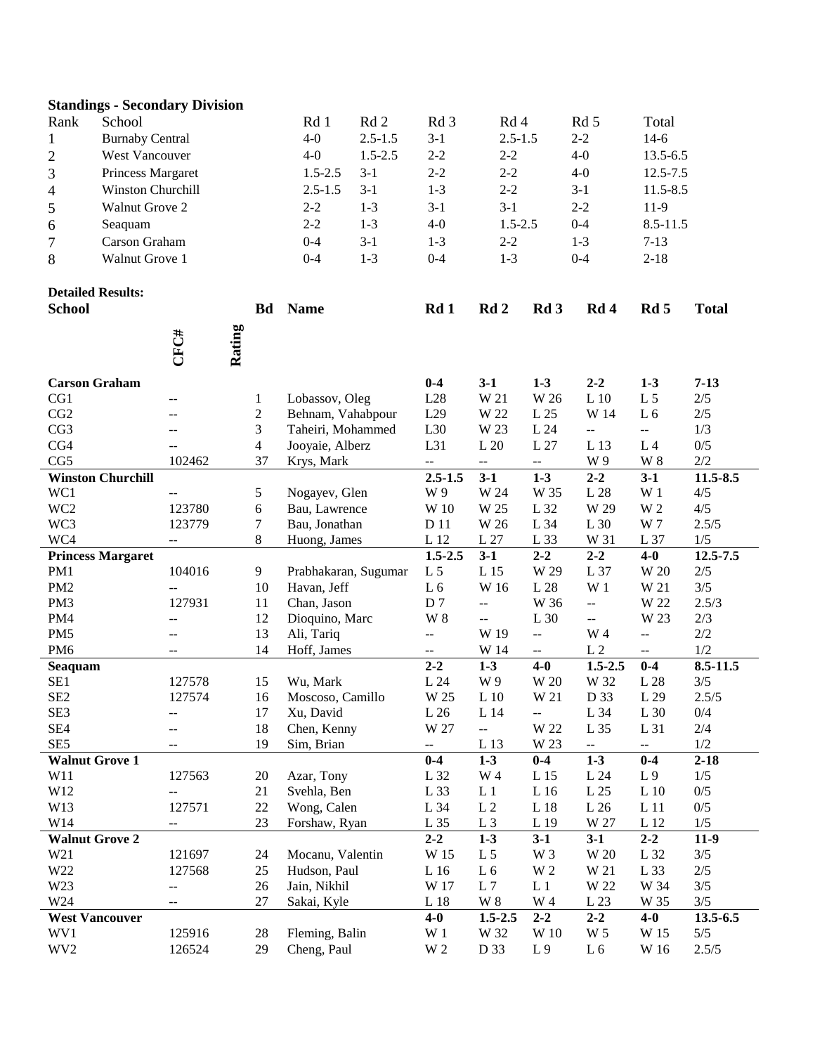| <b>Standings - Secondary Division</b> |                          |                          |        |                    |                               |                 |                                         |                                               |                                  |                               |                                               |                 |
|---------------------------------------|--------------------------|--------------------------|--------|--------------------|-------------------------------|-----------------|-----------------------------------------|-----------------------------------------------|----------------------------------|-------------------------------|-----------------------------------------------|-----------------|
| Rank                                  | School                   |                          |        |                    | Rd 1                          | Rd <sub>2</sub> | Rd 3                                    | Rd 4                                          |                                  | Rd 5                          | Total                                         |                 |
| $\mathbf{1}$                          | <b>Burnaby Central</b>   |                          |        | $4-0$              | $2.5 - 1.5$                   |                 | $2.5 - 1.5$                             |                                               | $2 - 2$                          | $14-6$                        |                                               |                 |
| $\overline{c}$                        | West Vancouver           |                          |        | $4-0$              | $1.5 - 2.5$                   | $2 - 2$         | $2 - 2$                                 |                                               | $4-0$                            | 13.5-6.5                      |                                               |                 |
| 3                                     | Princess Margaret        |                          |        | $1.5 - 2.5$        | $3 - 1$                       | $2 - 2$         | $2 - 2$                                 |                                               | $4-0$                            | 12.5-7.5                      |                                               |                 |
| 4                                     | Winston Churchill        |                          |        |                    | $3 - 1$<br>$2.5 - 1.5$        |                 | $1 - 3$                                 | $2 - 2$                                       |                                  | $3-1$                         | 11.5-8.5                                      |                 |
| 5                                     | Walnut Grove 2           |                          |        | $2 - 2$<br>$1 - 3$ |                               | $3-1$           | $3-1$                                   |                                               | $2 - 2$                          | $11-9$                        |                                               |                 |
| 6                                     | Seaquam                  |                          |        | $2 - 2$<br>$1 - 3$ |                               | $4-0$           | $1.5 - 2.5$                             |                                               | $0 - 4$                          | 8.5-11.5                      |                                               |                 |
| 7                                     | Carson Graham            |                          |        | $3 - 1$<br>$0 - 4$ |                               | $1-3$           | $2 - 2$                                 |                                               | $1 - 3$                          | $7 - 13$                      |                                               |                 |
| 8                                     | Walnut Grove 1           |                          |        | $1 - 3$<br>$0 - 4$ |                               | $0 - 4$         | $1 - 3$                                 |                                               | $0 - 4$                          | $2 - 18$                      |                                               |                 |
|                                       |                          |                          |        |                    |                               |                 |                                         |                                               |                                  |                               |                                               |                 |
|                                       | <b>Detailed Results:</b> |                          |        |                    |                               |                 |                                         |                                               |                                  |                               |                                               |                 |
| <b>School</b>                         |                          |                          |        | <b>Bd</b>          | <b>Name</b>                   |                 | Rd 1                                    | Rd 2                                          | Rd <sub>3</sub>                  | Rd <sub>4</sub>               | Rd 5                                          | <b>Total</b>    |
|                                       |                          |                          |        |                    |                               |                 |                                         |                                               |                                  |                               |                                               |                 |
|                                       |                          | CFC#                     |        |                    |                               |                 |                                         |                                               |                                  |                               |                                               |                 |
|                                       |                          |                          | Rating |                    |                               |                 |                                         |                                               |                                  |                               |                                               |                 |
| <b>Carson Graham</b>                  |                          |                          |        |                    |                               |                 | $0-4$                                   | $3-1$                                         | $1 - 3$                          | $2 - 2$                       | $1 - 3$                                       | $7-13$          |
| CG1                                   |                          | $-$                      |        | $\mathbf{1}$       | Lobassov, Oleg                |                 | L28                                     | W 21                                          | W 26                             | L <sub>10</sub>               | L <sub>5</sub>                                | $2/5$           |
| CG2                                   |                          | --                       |        | $\mathbf{2}$       | Behnam, Vahabpour             |                 | L29                                     | W 22                                          | L 25                             | W 14                          | L <sub>6</sub>                                | $2/5$           |
| CG3                                   |                          | $-$                      |        | 3                  | Taheiri, Mohammed             |                 | L30                                     | W 23                                          | $\mbox{L}~24$                    | --                            | $\mathcal{L}_{\mathcal{F}}$                   | 1/3             |
| CG4                                   |                          |                          |        | 4                  | Jooyaie, Alberz               |                 | L31                                     | $\;$ L $20$                                   | $\mbox{L}$ 27                    | L 13                          | L <sub>4</sub>                                | 0/5             |
| CG5                                   |                          | 102462                   |        | 37                 | Krys, Mark                    |                 | $\overline{\phantom{a}}$                | --                                            | --                               | W 9                           | $\ensuremath{\text{W}}$ 8                     | 2/2             |
| <b>Winston Churchill</b>              |                          |                          |        |                    |                               | $2.5 - 1.5$     | $3-1$                                   | $1 - 3$                                       | $2 - 2$                          | $3-1$                         | 11.5-8.5                                      |                 |
| WC1                                   |                          | $-$                      |        | 5                  | Nogayev, Glen                 |                 | W 9                                     | W 24                                          | W 35                             | L <sub>28</sub>               | W <sub>1</sub>                                | 4/5             |
| WC <sub>2</sub>                       |                          | 123780                   |        | 6                  | Bau, Lawrence                 |                 | W 10                                    | W 25                                          | L 32                             | W 29                          | W 2                                           | 4/5             |
| WC3                                   |                          | 123779                   |        | $\tau$             | Bau, Jonathan                 |                 | D 11                                    | W 26                                          | L 34                             | L 30                          | W 7                                           | 2.5/5           |
| WC4                                   |                          | $-\, -$                  |        | $\,8\,$            | Huong, James                  |                 | L 12                                    | L27                                           | L 33                             | W 31                          | L 37                                          | 1/5             |
|                                       | <b>Princess Margaret</b> |                          |        |                    |                               |                 | $1.5 - 2.5$                             | $3-1$                                         | $2 - 2$                          | $2 - 2$                       | $4-0$                                         | 12.5-7.5        |
| PM1                                   |                          | 104016                   |        | 9                  | Prabhakaran, Sugumar          |                 | L <sub>5</sub>                          | L 15                                          | W 29                             | L 37                          | W 20                                          | $2/5$           |
| PM <sub>2</sub>                       |                          | --                       |        | 10                 | Havan, Jeff                   |                 | L <sub>6</sub>                          | W 16                                          | L 28                             | W <sub>1</sub>                | W 21                                          | 3/5             |
| PM3                                   |                          | 127931                   |        | 11                 | Chan, Jason                   |                 | D7                                      | $\mathord{\hspace{1pt}\text{--}\hspace{1pt}}$ | W 36                             | ÷-                            | W 22                                          | 2.5/3           |
| PM4                                   |                          | --                       |        | 12                 | Dioquino, Marc                |                 | <b>W</b> 8                              | $\mathcal{L}_{\mathcal{F}}$                   | L 30                             | $\overline{\phantom{a}}$      | W 23                                          | 2/3             |
| PM <sub>5</sub>                       |                          | --                       |        | 13                 | Ali, Tariq<br>Hoff, James     |                 | $\overline{a}$                          | W 19                                          | ÷.                               | W 4                           | $\overline{a}$                                | 2/2             |
| PM <sub>6</sub>                       |                          | $- -$                    |        | 14                 |                               |                 | $- -$<br>$2 - 2$                        | W 14<br>$1 - 3$                               | $- -$<br>$4-0$                   | L <sub>2</sub><br>$1.5 - 2.5$ | $\overline{\phantom{a}}$<br>$0 - 4$           | 1/2<br>8.5-11.5 |
| Seaquam<br>SE1                        |                          | 127578                   |        | 15                 | Wu, Mark                      |                 | L 24                                    | W 9                                           | W 20                             | W 32                          | L 28                                          | 3/5             |
| SE <sub>2</sub>                       |                          | 127574                   |        | 16                 | Moscoso, Camillo              |                 | W 25                                    | L10                                           | W 21                             | D 33                          | L 29                                          | 2.5/5           |
| SE <sub>3</sub>                       |                          | --                       |        | 17                 | Xu, David                     |                 | L 26                                    | L 14                                          | --                               | L 34                          | L 30                                          | 0/4             |
| SE4                                   |                          | --                       |        | 18                 | Chen, Kenny                   |                 | W 27                                    | --                                            | W 22                             | L 35                          | L 31                                          | 2/4             |
| SE <sub>5</sub>                       |                          |                          |        | 19                 | Sim, Brian                    |                 | $\hspace{0.05cm} \hspace{0.02cm} \dots$ | L 13                                          | W 23                             | $\rightarrow$                 | $\mathord{\hspace{1pt}\text{--}\hspace{1pt}}$ | 1/2             |
| <b>Walnut Grove 1</b>                 |                          |                          |        |                    |                               |                 | $0 - 4$                                 | $1 - 3$                                       | $0-4$                            | $1 - 3$                       | $0 - 4$                                       | $2 - 18$        |
| W11                                   |                          | 127563                   |        | 20                 | Azar, Tony                    |                 | L 32                                    | W 4                                           | L 15                             | L 24                          | L <sub>9</sub>                                | 1/5             |
| W12                                   |                          | --                       |        | 21                 | Svehla, Ben                   |                 | L 33                                    | L <sub>1</sub>                                | L 16                             | L 25                          | L <sub>10</sub>                               | $0/5$           |
| W13                                   |                          | 127571                   |        | $22\,$             | Wong, Calen                   |                 | L 34                                    | L <sub>2</sub>                                | L 18                             | L 26                          | L <sub>11</sub>                               | $0/5$           |
| W14                                   |                          | $\overline{\phantom{m}}$ |        | 23                 | Forshaw, Ryan                 |                 | L 35                                    | L <sub>3</sub>                                | L 19                             | W 27                          | L 12                                          | $1/5$           |
| <b>Walnut Grove 2</b>                 |                          |                          |        |                    |                               | $2 - 2$         | $1-3$                                   | $3-1$                                         | $3-1$                            | $2 - 2$                       | $11-9$                                        |                 |
| W21                                   |                          | 121697                   |        | 24                 | Mocanu, Valentin              |                 | W 15                                    | L <sub>5</sub>                                | W 3                              | W 20                          | L 32                                          | 3/5             |
| W22                                   |                          | 127568                   |        | 25                 | Hudson, Paul                  |                 | L 16                                    | L <sub>6</sub>                                | $\ensuremath{\text{W}}\xspace$ 2 | W 21                          | L 33                                          | $2/5$           |
| W23                                   |                          | --                       |        | 26                 | Jain, Nikhil                  |                 | W 17                                    | L <sub>7</sub>                                | L <sub>1</sub>                   | W 22                          | W 34                                          | $3/5$           |
| W24                                   |                          | $-$                      |        | 27                 | Sakai, Kyle                   |                 | $\;$ L $18$                             | $\ensuremath{\text{W}}$ 8                     | W 4                              | L 23                          | W 35                                          | $3/5$           |
|                                       | <b>West Vancouver</b>    |                          |        |                    |                               |                 | $4-0$                                   | $1.5 - 2.5$                                   | $2 - 2$                          | $2 - 2$                       | $4 - 0$                                       | 13.5-6.5        |
| WV1                                   |                          | 125916                   |        | 28                 | Fleming, Balin<br>Cheng, Paul |                 | W <sub>1</sub>                          | W 32                                          | W 10                             | W 5                           | W 15                                          | $5/5$           |
| WV <sub>2</sub>                       |                          | 126524                   |        | 29                 |                               |                 | W <sub>2</sub>                          | D 33                                          | L <sub>9</sub>                   | L <sub>6</sub>                | W 16                                          | 2.5/5           |